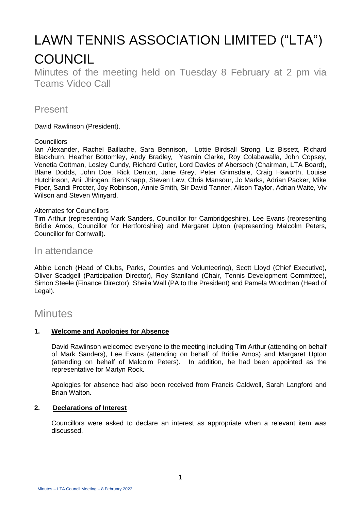# LAWN TENNIS ASSOCIATION LIMITED ("LTA") **COUNCIL**

Minutes of the meeting held on Tuesday 8 February at 2 pm via Teams Video Call

## Present

David Rawlinson (President).

#### **Councillors**

Ian Alexander, Rachel Baillache, Sara Bennison, Lottie Birdsall Strong, Liz Bissett, Richard Blackburn, Heather Bottomley, Andy Bradley*,* Yasmin Clarke, Roy Colabawalla, John Copsey, Venetia Cottman, Lesley Cundy, Richard Cutler, Lord Davies of Abersoch (Chairman, LTA Board), Blane Dodds, John Doe, Rick Denton, Jane Grey, Peter Grimsdale, Craig Haworth, Louise Hutchinson, Anil Jhingan, Ben Knapp, Steven Law, Chris Mansour, Jo Marks, Adrian Packer, Mike Piper, Sandi Procter, Joy Robinson, Annie Smith, Sir David Tanner, Alison Taylor, Adrian Waite, Viv Wilson and Steven Winyard.

#### Alternates for Councillors

Tim Arthur (representing Mark Sanders, Councillor for Cambridgeshire), Lee Evans (representing Bridie Amos, Councillor for Hertfordshire) and Margaret Upton (representing Malcolm Peters, Councillor for Cornwall).

### In attendance

Abbie Lench (Head of Clubs, Parks, Counties and Volunteering), Scott Lloyd (Chief Executive), Oliver Scadgell (Participation Director), Roy Staniland (Chair, Tennis Development Committee), Simon Steele (Finance Director), Sheila Wall (PA to the President) and Pamela Woodman (Head of Legal).

# **Minutes**

#### **1. Welcome and Apologies for Absence**

David Rawlinson welcomed everyone to the meeting including Tim Arthur (attending on behalf of Mark Sanders), Lee Evans (attending on behalf of Bridie Amos) and Margaret Upton (attending on behalf of Malcolm Peters). In addition, he had been appointed as the representative for Martyn Rock.

Apologies for absence had also been received from Francis Caldwell, Sarah Langford and Brian Walton.

#### **2. Declarations of Interest**

Councillors were asked to declare an interest as appropriate when a relevant item was discussed.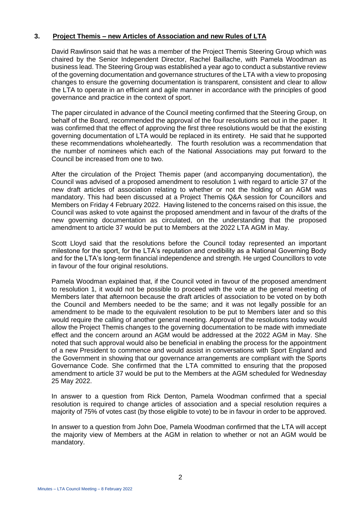#### **3. Project Themis – new Articles of Association and new Rules of LTA**

David Rawlinson said that he was a member of the Project Themis Steering Group which was chaired by the Senior Independent Director, Rachel Baillache, with Pamela Woodman as business lead. The Steering Group was established a year ago to conduct a substantive review of the governing documentation and governance structures of the LTA with a view to proposing changes to ensure the governing documentation is transparent, consistent and clear to allow the LTA to operate in an efficient and agile manner in accordance with the principles of good governance and practice in the context of sport.

The paper circulated in advance of the Council meeting confirmed that the Steering Group, on behalf of the Board, recommended the approval of the four resolutions set out in the paper. It was confirmed that the effect of approving the first three resolutions would be that the existing governing documentation of LTA would be replaced in its entirety. He said that he supported these recommendations wholeheartedly. The fourth resolution was a recommendation that the number of nominees which each of the National Associations may put forward to the Council be increased from one to two.

After the circulation of the Project Themis paper (and accompanying documentation), the Council was advised of a proposed amendment to resolution 1 with regard to article 37 of the new draft articles of association relating to whether or not the holding of an AGM was mandatory. This had been discussed at a Project Themis Q&A session for Councillors and Members on Friday 4 February 2022. Having listened to the concerns raised on this issue, the Council was asked to vote against the proposed amendment and in favour of the drafts of the new governing documentation as circulated, on the understanding that the proposed amendment to article 37 would be put to Members at the 2022 LTA AGM in May.

Scott Lloyd said that the resolutions before the Council today represented an important milestone for the sport, for the LTA's reputation and credibility as a National Governing Body and for the LTA's long-term financial independence and strength. He urged Councillors to vote in favour of the four original resolutions.

Pamela Woodman explained that, if the Council voted in favour of the proposed amendment to resolution 1, it would not be possible to proceed with the vote at the general meeting of Members later that afternoon because the draft articles of association to be voted on by both the Council and Members needed to be the same; and it was not legally possible for an amendment to be made to the equivalent resolution to be put to Members later and so this would require the calling of another general meeting. Approval of the resolutions today would allow the Project Themis changes to the governing documentation to be made with immediate effect and the concern around an AGM would be addressed at the 2022 AGM in May. She noted that such approval would also be beneficial in enabling the process for the appointment of a new President to commence and would assist in conversations with Sport England and the Government in showing that our governance arrangements are compliant with the Sports Governance Code. She confirmed that the LTA committed to ensuring that the proposed amendment to article 37 would be put to the Members at the AGM scheduled for Wednesday 25 May 2022.

In answer to a question from Rick Denton, Pamela Woodman confirmed that a special resolution is required to change articles of association and a special resolution requires a majority of 75% of votes cast (by those eligible to vote) to be in favour in order to be approved.

In answer to a question from John Doe, Pamela Woodman confirmed that the LTA will accept the majority view of Members at the AGM in relation to whether or not an AGM would be mandatory.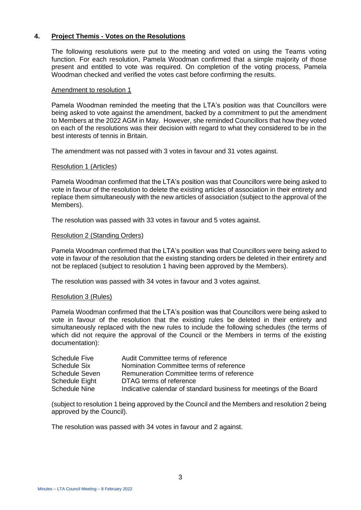#### **4. Project Themis - Votes on the Resolutions**

The following resolutions were put to the meeting and voted on using the Teams voting function. For each resolution, Pamela Woodman confirmed that a simple majority of those present and entitled to vote was required. On completion of the voting process, Pamela Woodman checked and verified the votes cast before confirming the results.

#### Amendment to resolution 1

Pamela Woodman reminded the meeting that the LTA's position was that Councillors were being asked to vote against the amendment, backed by a commitment to put the amendment to Members at the 2022 AGM in May. However, she reminded Councillors that how they voted on each of the resolutions was their decision with regard to what they considered to be in the best interests of tennis in Britain.

The amendment was not passed with 3 votes in favour and 31 votes against.

#### Resolution 1 (Articles)

Pamela Woodman confirmed that the LTA's position was that Councillors were being asked to vote in favour of the resolution to delete the existing articles of association in their entirety and replace them simultaneously with the new articles of association (subject to the approval of the Members).

The resolution was passed with 33 votes in favour and 5 votes against.

#### Resolution 2 (Standing Orders)

Pamela Woodman confirmed that the LTA's position was that Councillors were being asked to vote in favour of the resolution that the existing standing orders be deleted in their entirety and not be replaced (subject to resolution 1 having been approved by the Members).

The resolution was passed with 34 votes in favour and 3 votes against.

#### Resolution 3 (Rules)

Pamela Woodman confirmed that the LTA's position was that Councillors were being asked to vote in favour of the resolution that the existing rules be deleted in their entirety and simultaneously replaced with the new rules to include the following schedules (the terms of which did not require the approval of the Council or the Members in terms of the existing documentation):

| Schedule Five        | Audit Committee terms of reference                                 |
|----------------------|--------------------------------------------------------------------|
| Schedule Six         | Nomination Committee terms of reference                            |
| Schedule Seven       | Remuneration Committee terms of reference                          |
| Schedule Eight       | DTAG terms of reference                                            |
| <b>Schedule Nine</b> | Indicative calendar of standard business for meetings of the Board |

(subject to resolution 1 being approved by the Council and the Members and resolution 2 being approved by the Council).

The resolution was passed with 34 votes in favour and 2 against.